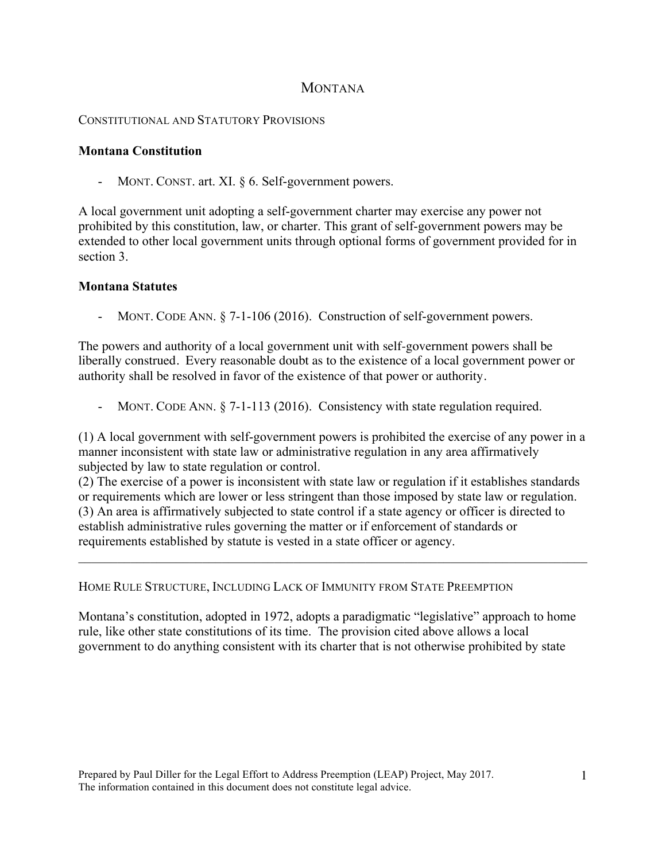## **MONTANA**

## CONSTITUTIONAL AND STATUTORY PROVISIONS

## **Montana Constitution**

MONT. CONST. art. XI. § 6. Self-government powers.

A local government unit adopting a self-government charter may exercise any power not prohibited by this constitution, law, or charter. This grant of self-government powers may be extended to other local government units through optional forms of government provided for in section 3.

## **Montana Statutes**

- MONT. CODE ANN. § 7-1-106 (2016). Construction of self-government powers.

The powers and authority of a local government unit with self-government powers shall be liberally construed. Every reasonable doubt as to the existence of a local government power or authority shall be resolved in favor of the existence of that power or authority.

MONT. CODE ANN. § 7-1-113 (2016). Consistency with state regulation required.

(1) A local government with self-government powers is prohibited the exercise of any power in a manner inconsistent with state law or administrative regulation in any area affirmatively subjected by law to state regulation or control.

(2) The exercise of a power is inconsistent with state law or regulation if it establishes standards or requirements which are lower or less stringent than those imposed by state law or regulation. (3) An area is affirmatively subjected to state control if a state agency or officer is directed to establish administrative rules governing the matter or if enforcement of standards or requirements established by statute is vested in a state officer or agency.

 $\mathcal{L}_\mathcal{L} = \{ \mathcal{L}_\mathcal{L} = \{ \mathcal{L}_\mathcal{L} = \{ \mathcal{L}_\mathcal{L} = \{ \mathcal{L}_\mathcal{L} = \{ \mathcal{L}_\mathcal{L} = \{ \mathcal{L}_\mathcal{L} = \{ \mathcal{L}_\mathcal{L} = \{ \mathcal{L}_\mathcal{L} = \{ \mathcal{L}_\mathcal{L} = \{ \mathcal{L}_\mathcal{L} = \{ \mathcal{L}_\mathcal{L} = \{ \mathcal{L}_\mathcal{L} = \{ \mathcal{L}_\mathcal{L} = \{ \mathcal{L}_\mathcal{$ 

HOME RULE STRUCTURE, INCLUDING LACK OF IMMUNITY FROM STATE PREEMPTION

Montana's constitution, adopted in 1972, adopts a paradigmatic "legislative" approach to home rule, like other state constitutions of its time. The provision cited above allows a local government to do anything consistent with its charter that is not otherwise prohibited by state